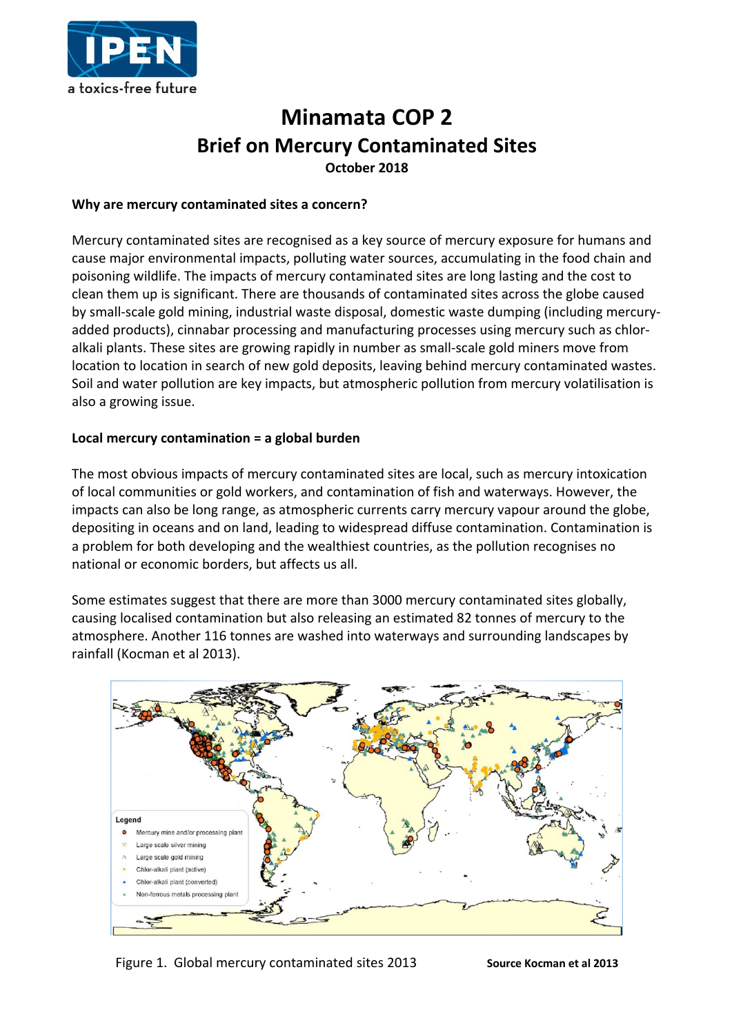

# **Minamata COP 2 Brief on Mercury Contaminated Sites October 2018**

#### **Why are mercury contaminated sites a concern?**

Mercury contaminated sites are recognised as a key source of mercury exposure for humans and cause major environmental impacts, polluting water sources, accumulating in the food chain and poisoning wildlife. The impacts of mercury contaminated sites are long lasting and the cost to clean them up is significant. There are thousands of contaminated sites across the globe caused by small-scale gold mining, industrial waste disposal, domestic waste dumping (including mercuryadded products), cinnabar processing and manufacturing processes using mercury such as chloralkali plants. These sites are growing rapidly in number as small-scale gold miners move from location to location in search of new gold deposits, leaving behind mercury contaminated wastes. Soil and water pollution are key impacts, but atmospheric pollution from mercury volatilisation is also a growing issue.

## **Local mercury contamination = a global burden**

The most obvious impacts of mercury contaminated sites are local, such as mercury intoxication of local communities or gold workers, and contamination of fish and waterways. However, the impacts can also be long range, as atmospheric currents carry mercury vapour around the globe, depositing in oceans and on land, leading to widespread diffuse contamination. Contamination is a problem for both developing and the wealthiest countries, as the pollution recognises no national or economic borders, but affects us all.

Some estimates suggest that there are more than 3000 mercury contaminated sites globally, causing localised contamination but also releasing an estimated 82 tonnes of mercury to the atmosphere. Another 116 tonnes are washed into waterways and surrounding landscapes by rainfall (Kocman et al 2013).



## Figure 1. Global mercury contaminated sites 2013 **Source Kocman et al 2013**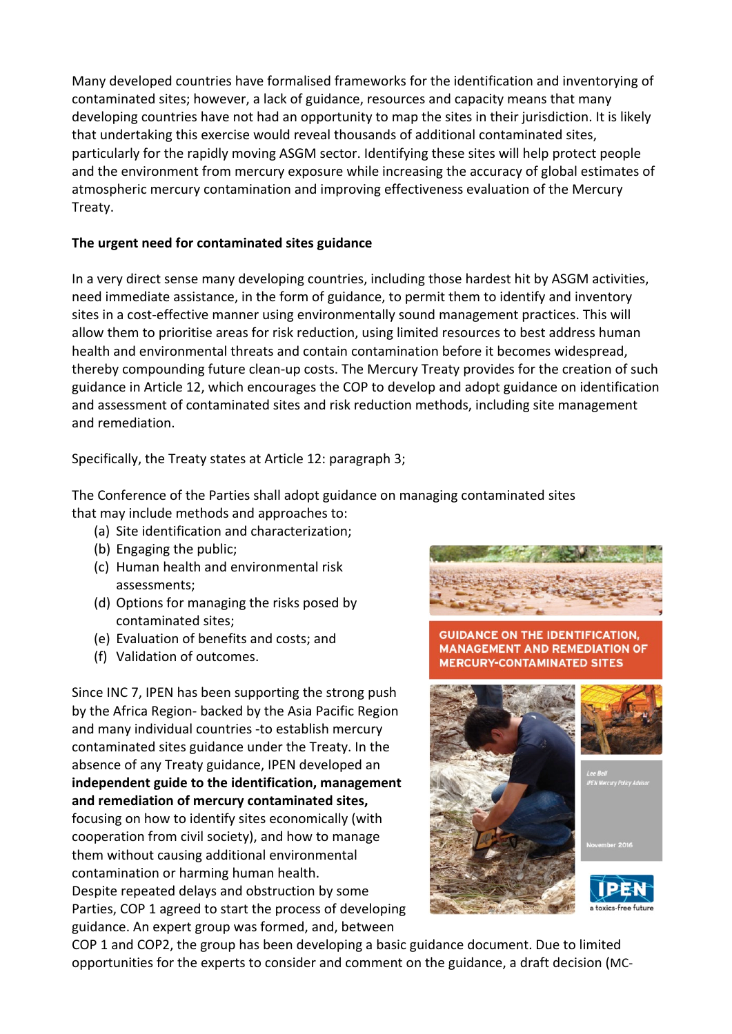Many developed countries have formalised frameworks for the identification and inventorying of contaminated sites; however, a lack of guidance, resources and capacity means that many developing countries have not had an opportunity to map the sites in their jurisdiction. It is likely that undertaking this exercise would reveal thousands of additional contaminated sites, particularly for the rapidly moving ASGM sector. Identifying these sites will help protect people and the environment from mercury exposure while increasing the accuracy of global estimates of atmospheric mercury contamination and improving effectiveness evaluation of the Mercury Treaty.

## **The urgent need for contaminated sites guidance**

In a very direct sense many developing countries, including those hardest hit by ASGM activities, need immediate assistance, in the form of guidance, to permit them to identify and inventory sites in a cost-effective manner using environmentally sound management practices. This will allow them to prioritise areas for risk reduction, using limited resources to best address human health and environmental threats and contain contamination before it becomes widespread, thereby compounding future clean-up costs. The Mercury Treaty provides for the creation of such guidance in Article 12, which encourages the COP to develop and adopt guidance on identification and assessment of contaminated sites and risk reduction methods, including site management and remediation.

Specifically, the Treaty states at Article 12: paragraph 3;

The Conference of the Parties shall adopt guidance on managing contaminated sites that may include methods and approaches to:

- (a) Site identification and characterization;
- (b) Engaging the public;
- (c) Human health and environmental risk assessments;
- (d) Options for managing the risks posed by contaminated sites;
- (e) Evaluation of benefits and costs; and
- (f) Validation of outcomes.

Since INC 7, IPEN has been supporting the strong push by the Africa Region- backed by the Asia Pacific Region and many individual countries -to establish mercury contaminated sites guidance under the Treaty. In the absence of any Treaty guidance, IPEN developed an **independent guide to the identification, management and remediation of mercury contaminated sites,** focusing on how to identify sites economically (with cooperation from civil society), and how to manage them without causing additional environmental contamination or harming human health. Despite repeated delays and obstruction by some Parties, COP 1 agreed to start the process of developing guidance. An expert group was formed, and, between



**GUIDANCE ON THE IDENTIFICATION. MANAGEMENT AND REMEDIATION OF MERCURY-CONTAMINATED SITES** 







COP 1 and COP2, the group has been developing a basic guidance document. Due to limited opportunities for the experts to consider and comment on the guidance, a draft decision (MC-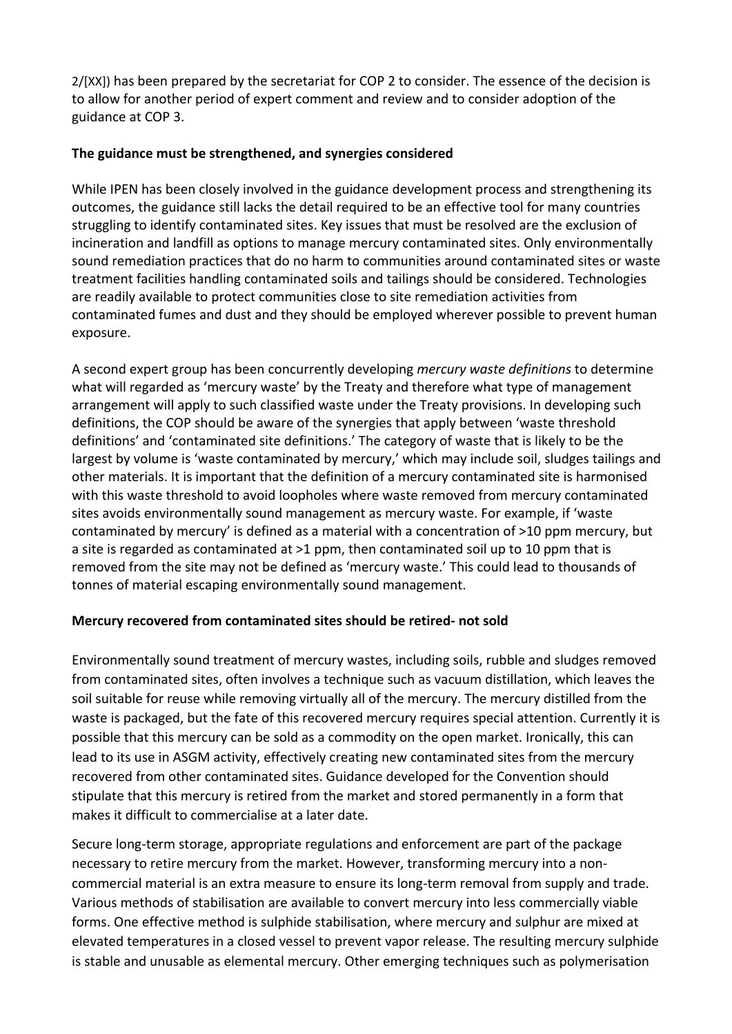2/[XX]) has been prepared by the secretariat for COP 2 to consider. The essence of the decision is to allow for another period of expert comment and review and to consider adoption of the guidance at COP 3.

#### **The guidance must be strengthened, and synergies considered**

While IPEN has been closely involved in the guidance development process and strengthening its outcomes, the guidance still lacks the detail required to be an effective tool for many countries struggling to identify contaminated sites. Key issues that must be resolved are the exclusion of incineration and landfill as options to manage mercury contaminated sites. Only environmentally sound remediation practices that do no harm to communities around contaminated sites or waste treatment facilities handling contaminated soils and tailings should be considered. Technologies are readily available to protect communities close to site remediation activities from contaminated fumes and dust and they should be employed wherever possible to prevent human exposure.

A second expert group has been concurrently developing *mercury waste definitions* to determine what will regarded as 'mercury waste' by the Treaty and therefore what type of management arrangement will apply to such classified waste under the Treaty provisions. In developing such definitions, the COP should be aware of the synergies that apply between 'waste threshold definitions' and 'contaminated site definitions.' The category of waste that is likely to be the largest by volume is 'waste contaminated by mercury,' which may include soil, sludges tailings and other materials. It is important that the definition of a mercury contaminated site is harmonised with this waste threshold to avoid loopholes where waste removed from mercury contaminated sites avoids environmentally sound management as mercury waste. For example, if 'waste contaminated by mercury' is defined as a material with a concentration of >10 ppm mercury, but a site is regarded as contaminated at >1 ppm, then contaminated soil up to 10 ppm that is removed from the site may not be defined as 'mercury waste.' This could lead to thousands of tonnes of material escaping environmentally sound management.

## **Mercury recovered from contaminated sites should be retired- not sold**

Environmentally sound treatment of mercury wastes, including soils, rubble and sludges removed from contaminated sites, often involves a technique such as vacuum distillation, which leaves the soil suitable for reuse while removing virtually all of the mercury. The mercury distilled from the waste is packaged, but the fate of this recovered mercury requires special attention. Currently it is possible that this mercury can be sold as a commodity on the open market. Ironically, this can lead to its use in ASGM activity, effectively creating new contaminated sites from the mercury recovered from other contaminated sites. Guidance developed for the Convention should stipulate that this mercury is retired from the market and stored permanently in a form that makes it difficult to commercialise at a later date.

Secure long-term storage, appropriate regulations and enforcement are part of the package necessary to retire mercury from the market. However, transforming mercury into a noncommercial material is an extra measure to ensure its long-term removal from supply and trade. Various methods of stabilisation are available to convert mercury into less commercially viable forms. One effective method is sulphide stabilisation, where mercury and sulphur are mixed at elevated temperatures in a closed vessel to prevent vapor release. The resulting mercury sulphide is stable and unusable as elemental mercury. Other emerging techniques such as polymerisation